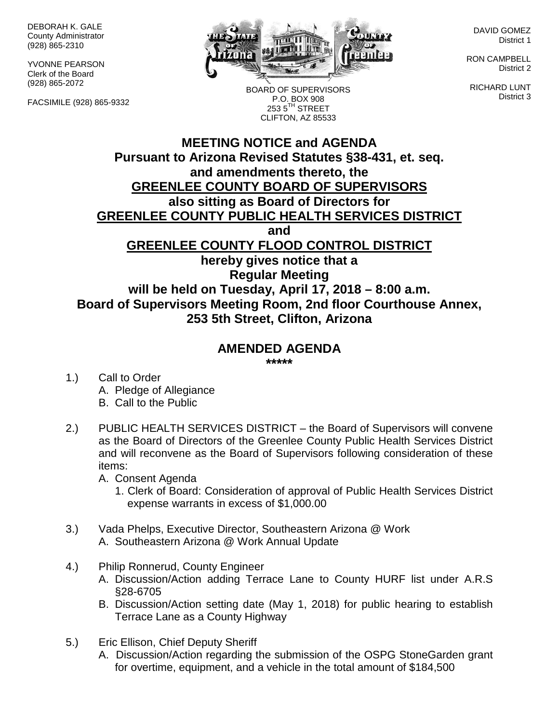DEBORAH K. GALE County Administrator (928) 865-2310

YVONNE PEARSON Clerk of the Board (928) 865-2072

FACSIMILE (928) 865-9332



BOARD OF SUPERVISORS P.O. BOX 908  $2535^{\text{TH}}$  STREET CLIFTON, AZ 85533

DAVID GOMEZ District 1

RON CAMPBELL District 2

RICHARD LUNT District 3

## **MEETING NOTICE and AGENDA Pursuant to Arizona Revised Statutes §38-431, et. seq. and amendments thereto, the GREENLEE COUNTY BOARD OF SUPERVISORS also sitting as Board of Directors for GREENLEE COUNTY PUBLIC HEALTH SERVICES DISTRICT and GREENLEE COUNTY FLOOD CONTROL DISTRICT hereby gives notice that a Regular Meeting will be held on Tuesday, April 17, 2018 – 8:00 a.m. Board of Supervisors Meeting Room, 2nd floor Courthouse Annex, 253 5th Street, Clifton, Arizona**

## **AMENDED AGENDA**

**\*\*\*\*\***

- 1.) Call to Order A. Pledge of Allegiance B. Call to the Public
- 2.) PUBLIC HEALTH SERVICES DISTRICT the Board of Supervisors will convene as the Board of Directors of the Greenlee County Public Health Services District and will reconvene as the Board of Supervisors following consideration of these items:

A. Consent Agenda

- 1. Clerk of Board: Consideration of approval of Public Health Services District expense warrants in excess of \$1,000.00
- 3.) Vada Phelps, Executive Director, Southeastern Arizona @ Work A. Southeastern Arizona @ Work Annual Update
- 4.) Philip Ronnerud, County Engineer
	- A. Discussion/Action adding Terrace Lane to County HURF list under A.R.S §28-6705
	- B. Discussion/Action setting date (May 1, 2018) for public hearing to establish Terrace Lane as a County Highway
- 5.) Eric Ellison, Chief Deputy Sheriff
	- A. Discussion/Action regarding the submission of the OSPG StoneGarden grant for overtime, equipment, and a vehicle in the total amount of \$184,500